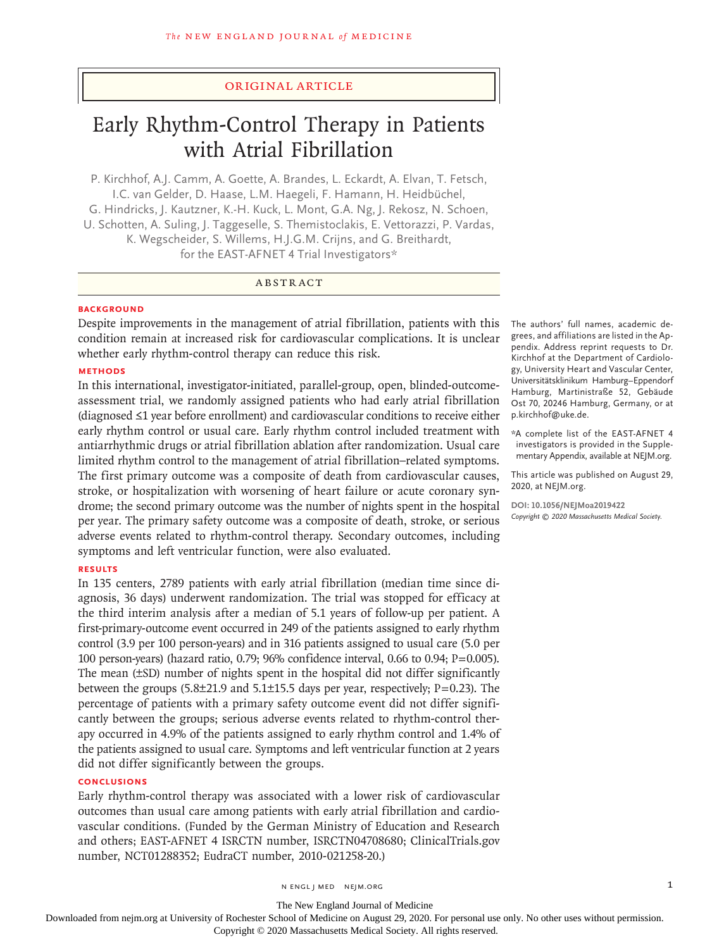## Original Article

# Early Rhythm-Control Therapy in Patients with Atrial Fibrillation

P. Kirchhof, A.J. Camm, A. Goette, A. Brandes, L. Eckardt, A. Elvan, T. Fetsch, I.C. van Gelder, D. Haase, L.M. Haegeli, F. Hamann, H. Heidbüchel, G. Hindricks, J. Kautzner, K.-H. Kuck, L. Mont, G.A. Ng, J. Rekosz, N. Schoen, U. Schotten, A. Suling, J. Taggeselle, S. Themistoclakis, E. Vettorazzi, P. Vardas, K. Wegscheider, S. Willems, H.J.G.M. Crijns, and G. Breithardt, for the EAST-AFNET 4 Trial Investigators\*

# ABSTRACT

#### **BACKGROUND**

Despite improvements in the management of atrial fibrillation, patients with this condition remain at increased risk for cardiovascular complications. It is unclear whether early rhythm-control therapy can reduce this risk.

# **METHODS**

In this international, investigator-initiated, parallel-group, open, blinded-outcomeassessment trial, we randomly assigned patients who had early atrial fibrillation (diagnosed ≤1 year before enrollment) and cardiovascular conditions to receive either early rhythm control or usual care. Early rhythm control included treatment with antiarrhythmic drugs or atrial fibrillation ablation after randomization. Usual care limited rhythm control to the management of atrial fibrillation–related symptoms. The first primary outcome was a composite of death from cardiovascular causes, stroke, or hospitalization with worsening of heart failure or acute coronary syndrome; the second primary outcome was the number of nights spent in the hospital per year. The primary safety outcome was a composite of death, stroke, or serious adverse events related to rhythm-control therapy. Secondary outcomes, including symptoms and left ventricular function, were also evaluated.

#### **RESULTS**

In 135 centers, 2789 patients with early atrial fibrillation (median time since diagnosis, 36 days) underwent randomization. The trial was stopped for efficacy at the third interim analysis after a median of 5.1 years of follow-up per patient. A first-primary-outcome event occurred in 249 of the patients assigned to early rhythm control (3.9 per 100 person-years) and in 316 patients assigned to usual care (5.0 per 100 person-years) (hazard ratio, 0.79; 96% confidence interval, 0.66 to 0.94; P=0.005). The mean (±SD) number of nights spent in the hospital did not differ significantly between the groups  $(5.8\pm 21.9 \text{ and } 5.1\pm 15.5 \text{ days}$  per year, respectively; P=0.23). The percentage of patients with a primary safety outcome event did not differ significantly between the groups; serious adverse events related to rhythm-control therapy occurred in 4.9% of the patients assigned to early rhythm control and 1.4% of the patients assigned to usual care. Symptoms and left ventricular function at 2 years did not differ significantly between the groups.

## **CONCLUSIONS**

Early rhythm-control therapy was associated with a lower risk of cardiovascular outcomes than usual care among patients with early atrial fibrillation and cardiovascular conditions. (Funded by the German Ministry of Education and Research and others; EAST-AFNET 4 ISRCTN number, [ISRCTN04708680;](http://www.controlled-trials.com/ISRCTN04708680) ClinicalTrials.gov number, [NCT01288352](http://clinicaltrials.gov/show/NCT01288352); EudraCT number, [2010-021258-20](https://www.clinicaltrialsregister.eu/ctr-search/search?query=2010-021258-20).)

The authors' full names, academic degrees, and affiliations are listed in the Appendix. Address reprint requests to Dr. Kirchhof at the Department of Cardiology, University Heart and Vascular Center, Universitätsklinikum Hamburg–Eppendorf Hamburg, Martinistraße 52, Gebäude Ost 70, 20246 Hamburg, Germany, or at p.kirchhof@uke.de.

\*A complete list of the EAST-AFNET 4 investigators is provided in the Supplementary Appendix, available at NEJM.org.

This article was published on August 29, 2020, at NEJM.org.

**DOI: 10.1056/NEJMoa2019422** *Copyright © 2020 Massachusetts Medical Society.*

The New England Journal of Medicine

Downloaded from nejm.org at University of Rochester School of Medicine on August 29, 2020. For personal use only. No other uses without permission.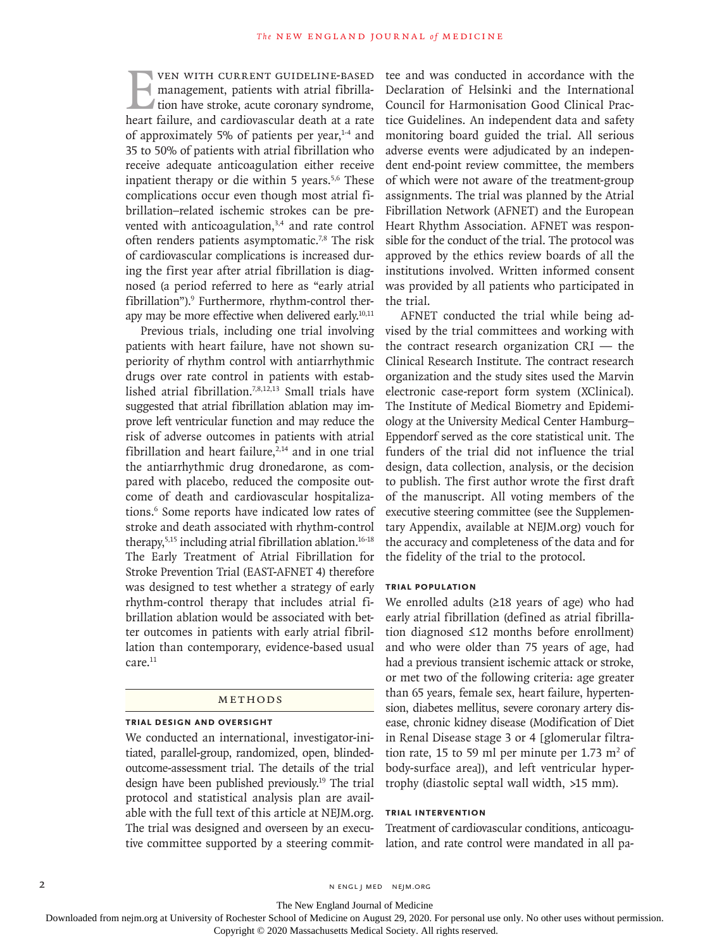**EVEN WITH CURRENT GUIDELINE-BASED**<br>management, patients with atrial fibrilla-<br>tion have stroke, acute coronary syndrome,<br>heart failure, and cardiovascular death at a rate management, patients with atrial fibrillation have stroke, acute coronary syndrome, heart failure, and cardiovascular death at a rate of approximately 5% of patients per year, $1-4$  and 35 to 50% of patients with atrial fibrillation who receive adequate anticoagulation either receive inpatient therapy or die within 5 years.<sup>5,6</sup> These complications occur even though most atrial fibrillation–related ischemic strokes can be prevented with anticoagulation,<sup>3,4</sup> and rate control often renders patients asymptomatic.<sup>7,8</sup> The risk of cardiovascular complications is increased during the first year after atrial fibrillation is diagnosed (a period referred to here as "early atrial fibrillation").<sup>9</sup> Furthermore, rhythm-control therapy may be more effective when delivered early.<sup>10,11</sup>

Previous trials, including one trial involving patients with heart failure, have not shown superiority of rhythm control with antiarrhythmic drugs over rate control in patients with established atrial fibrillation.7,8,12,13 Small trials have suggested that atrial fibrillation ablation may improve left ventricular function and may reduce the risk of adverse outcomes in patients with atrial fibrillation and heart failure, $2,14$  and in one trial the antiarrhythmic drug dronedarone, as compared with placebo, reduced the composite outcome of death and cardiovascular hospitalizations.<sup>6</sup> Some reports have indicated low rates of stroke and death associated with rhythm-control therapy,<sup>5,15</sup> including atrial fibrillation ablation.<sup>16-18</sup> The Early Treatment of Atrial Fibrillation for Stroke Prevention Trial (EAST-AFNET 4) therefore was designed to test whether a strategy of early rhythm-control therapy that includes atrial fibrillation ablation would be associated with better outcomes in patients with early atrial fibrillation than contemporary, evidence-based usual care.<sup>11</sup>

#### Methods

#### **Trial Design and Oversight**

We conducted an international, investigator-initiated, parallel-group, randomized, open, blindedoutcome-assessment trial. The details of the trial design have been published previously.19 The trial protocol and statistical analysis plan are available with the full text of this article at NEJM.org. The trial was designed and overseen by an executive committee supported by a steering committee and was conducted in accordance with the Declaration of Helsinki and the International Council for Harmonisation Good Clinical Practice Guidelines. An independent data and safety monitoring board guided the trial. All serious adverse events were adjudicated by an independent end-point review committee, the members of which were not aware of the treatment-group assignments. The trial was planned by the Atrial Fibrillation Network (AFNET) and the European Heart Rhythm Association. AFNET was responsible for the conduct of the trial. The protocol was approved by the ethics review boards of all the institutions involved. Written informed consent was provided by all patients who participated in the trial.

AFNET conducted the trial while being advised by the trial committees and working with the contract research organization CRI — the Clinical Research Institute. The contract research organization and the study sites used the Marvin electronic case-report form system (XClinical). The Institute of Medical Biometry and Epidemiology at the University Medical Center Hamburg– Eppendorf served as the core statistical unit. The funders of the trial did not influence the trial design, data collection, analysis, or the decision to publish. The first author wrote the first draft of the manuscript. All voting members of the executive steering committee (see the Supplementary Appendix, available at NEJM.org) vouch for the accuracy and completeness of the data and for the fidelity of the trial to the protocol.

#### **Trial Population**

We enrolled adults (≥18 years of age) who had early atrial fibrillation (defined as atrial fibrillation diagnosed ≤12 months before enrollment) and who were older than 75 years of age, had had a previous transient ischemic attack or stroke, or met two of the following criteria: age greater than 65 years, female sex, heart failure, hypertension, diabetes mellitus, severe coronary artery disease, chronic kidney disease (Modification of Diet in Renal Disease stage 3 or 4 [glomerular filtration rate, 15 to 59 ml per minute per 1.73  $m<sup>2</sup>$  of body-surface area]), and left ventricular hypertrophy (diastolic septal wall width, >15 mm).

#### **Trial Intervention**

Treatment of cardiovascular conditions, anticoagulation, and rate control were mandated in all pa-

2 N ENGL J MED NEJM.ORG

The New England Journal of Medicine

Downloaded from nejm.org at University of Rochester School of Medicine on August 29, 2020. For personal use only. No other uses without permission.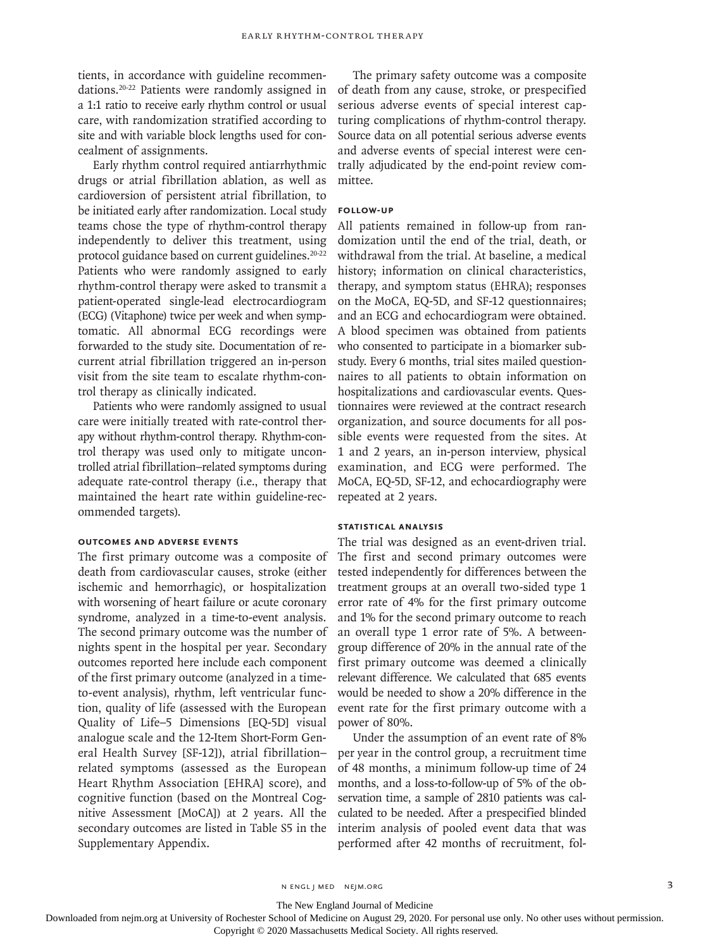tients, in accordance with guideline recommendations.20-22 Patients were randomly assigned in a 1:1 ratio to receive early rhythm control or usual care, with randomization stratified according to site and with variable block lengths used for concealment of assignments.

Early rhythm control required antiarrhythmic drugs or atrial fibrillation ablation, as well as cardioversion of persistent atrial fibrillation, to be initiated early after randomization. Local study teams chose the type of rhythm-control therapy independently to deliver this treatment, using protocol guidance based on current guidelines.<sup>20-22</sup> Patients who were randomly assigned to early rhythm-control therapy were asked to transmit a patient-operated single-lead electrocardiogram (ECG) (Vitaphone) twice per week and when symptomatic. All abnormal ECG recordings were forwarded to the study site. Documentation of recurrent atrial fibrillation triggered an in-person visit from the site team to escalate rhythm-control therapy as clinically indicated.

Patients who were randomly assigned to usual care were initially treated with rate-control therapy without rhythm-control therapy. Rhythm-control therapy was used only to mitigate uncontrolled atrial fibrillation–related symptoms during adequate rate-control therapy (i.e., therapy that maintained the heart rate within guideline-recommended targets).

## **Outcomes and Adverse Events**

The first primary outcome was a composite of death from cardiovascular causes, stroke (either ischemic and hemorrhagic), or hospitalization with worsening of heart failure or acute coronary syndrome, analyzed in a time-to-event analysis. The second primary outcome was the number of nights spent in the hospital per year. Secondary outcomes reported here include each component of the first primary outcome (analyzed in a timeto-event analysis), rhythm, left ventricular function, quality of life (assessed with the European Quality of Life–5 Dimensions [EQ-5D] visual analogue scale and the 12-Item Short-Form General Health Survey [SF-12]), atrial fibrillation– related symptoms (assessed as the European Heart Rhythm Association [EHRA] score), and cognitive function (based on the Montreal Cognitive Assessment [MoCA]) at 2 years. All the secondary outcomes are listed in Table S5 in the Supplementary Appendix.

The primary safety outcome was a composite of death from any cause, stroke, or prespecified serious adverse events of special interest capturing complications of rhythm-control therapy. Source data on all potential serious adverse events and adverse events of special interest were centrally adjudicated by the end-point review committee.

#### **Follow-up**

All patients remained in follow-up from randomization until the end of the trial, death, or withdrawal from the trial. At baseline, a medical history; information on clinical characteristics, therapy, and symptom status (EHRA); responses on the MoCA, EQ-5D, and SF-12 questionnaires; and an ECG and echocardiogram were obtained. A blood specimen was obtained from patients who consented to participate in a biomarker substudy. Every 6 months, trial sites mailed questionnaires to all patients to obtain information on hospitalizations and cardiovascular events. Questionnaires were reviewed at the contract research organization, and source documents for all possible events were requested from the sites. At 1 and 2 years, an in-person interview, physical examination, and ECG were performed. The MoCA, EQ-5D, SF-12, and echocardiography were repeated at 2 years.

#### **Statistical Analysis**

The trial was designed as an event-driven trial. The first and second primary outcomes were tested independently for differences between the treatment groups at an overall two-sided type 1 error rate of 4% for the first primary outcome and 1% for the second primary outcome to reach an overall type 1 error rate of 5%. A betweengroup difference of 20% in the annual rate of the first primary outcome was deemed a clinically relevant difference. We calculated that 685 events would be needed to show a 20% difference in the event rate for the first primary outcome with a power of 80%.

Under the assumption of an event rate of 8% per year in the control group, a recruitment time of 48 months, a minimum follow-up time of 24 months, and a loss-to-follow-up of 5% of the observation time, a sample of 2810 patients was calculated to be needed. After a prespecified blinded interim analysis of pooled event data that was performed after 42 months of recruitment, fol-

The New England Journal of Medicine

Downloaded from nejm.org at University of Rochester School of Medicine on August 29, 2020. For personal use only. No other uses without permission.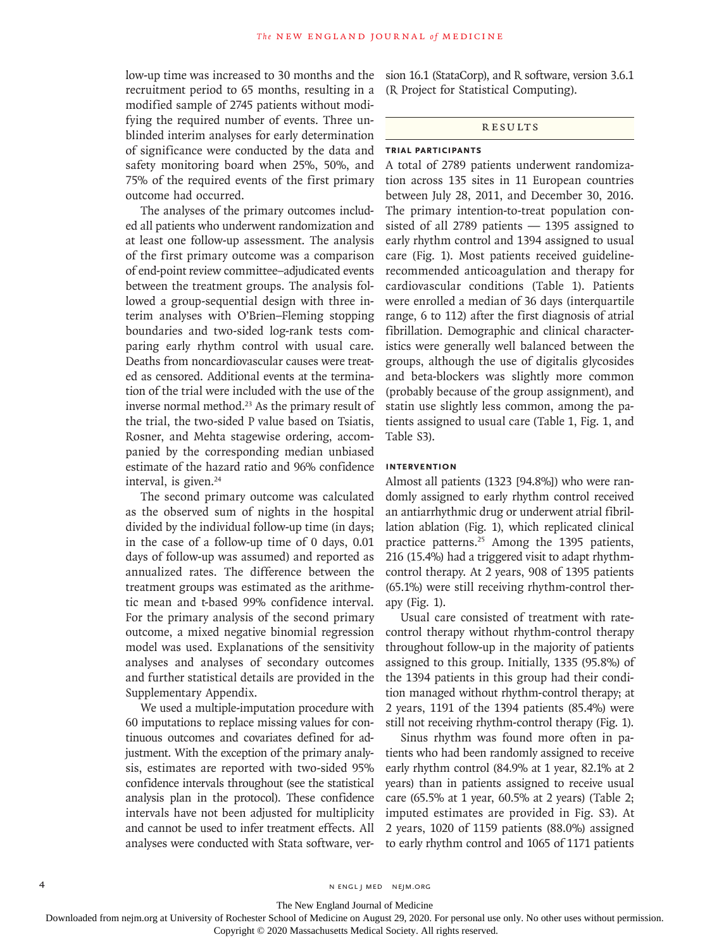low-up time was increased to 30 months and the recruitment period to 65 months, resulting in a modified sample of 2745 patients without modifying the required number of events. Three unblinded interim analyses for early determination of significance were conducted by the data and safety monitoring board when 25%, 50%, and 75% of the required events of the first primary outcome had occurred.

The analyses of the primary outcomes included all patients who underwent randomization and at least one follow-up assessment. The analysis of the first primary outcome was a comparison of end-point review committee–adjudicated events between the treatment groups. The analysis followed a group-sequential design with three interim analyses with O'Brien–Fleming stopping boundaries and two-sided log-rank tests comparing early rhythm control with usual care. Deaths from noncardiovascular causes were treated as censored. Additional events at the termination of the trial were included with the use of the inverse normal method.23 As the primary result of the trial, the two-sided P value based on Tsiatis, Rosner, and Mehta stagewise ordering, accompanied by the corresponding median unbiased estimate of the hazard ratio and 96% confidence interval, is given.<sup>24</sup>

The second primary outcome was calculated as the observed sum of nights in the hospital divided by the individual follow-up time (in days; in the case of a follow-up time of 0 days, 0.01 days of follow-up was assumed) and reported as annualized rates. The difference between the treatment groups was estimated as the arithmetic mean and t-based 99% confidence interval. For the primary analysis of the second primary outcome, a mixed negative binomial regression model was used. Explanations of the sensitivity analyses and analyses of secondary outcomes and further statistical details are provided in the Supplementary Appendix.

We used a multiple-imputation procedure with 60 imputations to replace missing values for continuous outcomes and covariates defined for adjustment. With the exception of the primary analysis, estimates are reported with two-sided 95% confidence intervals throughout (see the statistical analysis plan in the protocol). These confidence intervals have not been adjusted for multiplicity and cannot be used to infer treatment effects. All analyses were conducted with Stata software, version 16.1 (StataCorp), and R software, version 3.6.1 (R Project for Statistical Computing).

#### **RESULTS**

## **Trial Participants**

A total of 2789 patients underwent randomization across 135 sites in 11 European countries between July 28, 2011, and December 30, 2016. The primary intention-to-treat population consisted of all 2789 patients — 1395 assigned to early rhythm control and 1394 assigned to usual care (Fig. 1). Most patients received guidelinerecommended anticoagulation and therapy for cardiovascular conditions (Table 1). Patients were enrolled a median of 36 days (interquartile range, 6 to 112) after the first diagnosis of atrial fibrillation. Demographic and clinical characteristics were generally well balanced between the groups, although the use of digitalis glycosides and beta-blockers was slightly more common (probably because of the group assignment), and statin use slightly less common, among the patients assigned to usual care (Table 1, Fig. 1, and Table S3).

## **Intervention**

Almost all patients (1323 [94.8%]) who were randomly assigned to early rhythm control received an antiarrhythmic drug or underwent atrial fibrillation ablation (Fig. 1), which replicated clinical practice patterns.<sup>25</sup> Among the 1395 patients, 216 (15.4%) had a triggered visit to adapt rhythmcontrol therapy. At 2 years, 908 of 1395 patients (65.1%) were still receiving rhythm-control therapy (Fig. 1).

Usual care consisted of treatment with ratecontrol therapy without rhythm-control therapy throughout follow-up in the majority of patients assigned to this group. Initially, 1335 (95.8%) of the 1394 patients in this group had their condition managed without rhythm-control therapy; at 2 years, 1191 of the 1394 patients (85.4%) were still not receiving rhythm-control therapy (Fig. 1).

Sinus rhythm was found more often in patients who had been randomly assigned to receive early rhythm control (84.9% at 1 year, 82.1% at 2 years) than in patients assigned to receive usual care (65.5% at 1 year, 60.5% at 2 years) (Table 2; imputed estimates are provided in Fig. S3). At 2 years, 1020 of 1159 patients (88.0%) assigned to early rhythm control and 1065 of 1171 patients

4 n engl j med nejm.org nejm.org neighborhood in the negative media in the negative media in the negative media in the negative media in the negative media in the negative media in the negative media in the negative media

The New England Journal of Medicine

Downloaded from nejm.org at University of Rochester School of Medicine on August 29, 2020. For personal use only. No other uses without permission.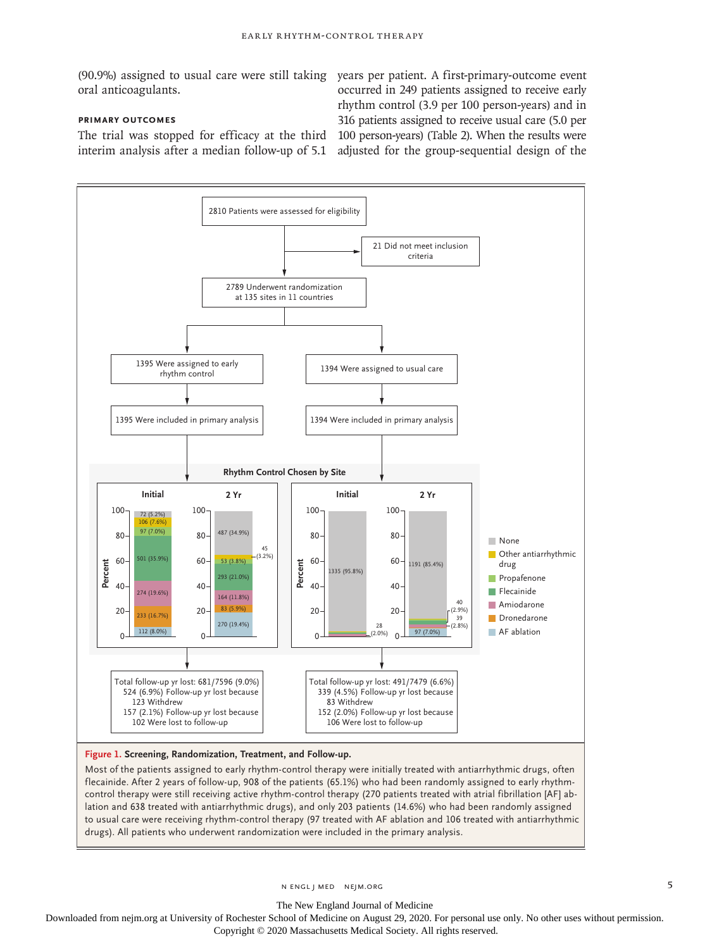(90.9%) assigned to usual care were still taking years per patient. A first-primary-outcome event oral anticoagulants.

## **Primary Outcomes**

The trial was stopped for efficacy at the third interim analysis after a median follow-up of 5.1

occurred in 249 patients assigned to receive early rhythm control (3.9 per 100 person-years) and in 316 patients assigned to receive usual care (5.0 per 100 person-years) (Table 2). When the results were adjusted for the group-sequential design of the



Most of the patients assigned to early rhythm-control therapy were initially treated with antiarrhythmic drugs, often flecainide. After 2 years of follow-up, 908 of the patients (65.1%) who had been randomly assigned to early rhythmcontrol therapy were still receiving active rhythm-control therapy (270 patients treated with atrial fibrillation [AF] ablation and 638 treated with antiarrhythmic drugs), and only 203 patients (14.6%) who had been randomly assigned to usual care were receiving rhythm-control therapy (97 treated with AF ablation and 106 treated with antiarrhythmic drugs). All patients who underwent randomization were included in the primary analysis.

n engl j med nejm.org 5

The New England Journal of Medicine

Downloaded from nejm.org at University of Rochester School of Medicine on August 29, 2020. For personal use only. No other uses without permission. Copyright © 2020 Massachusetts Medical Society. All rights reserved.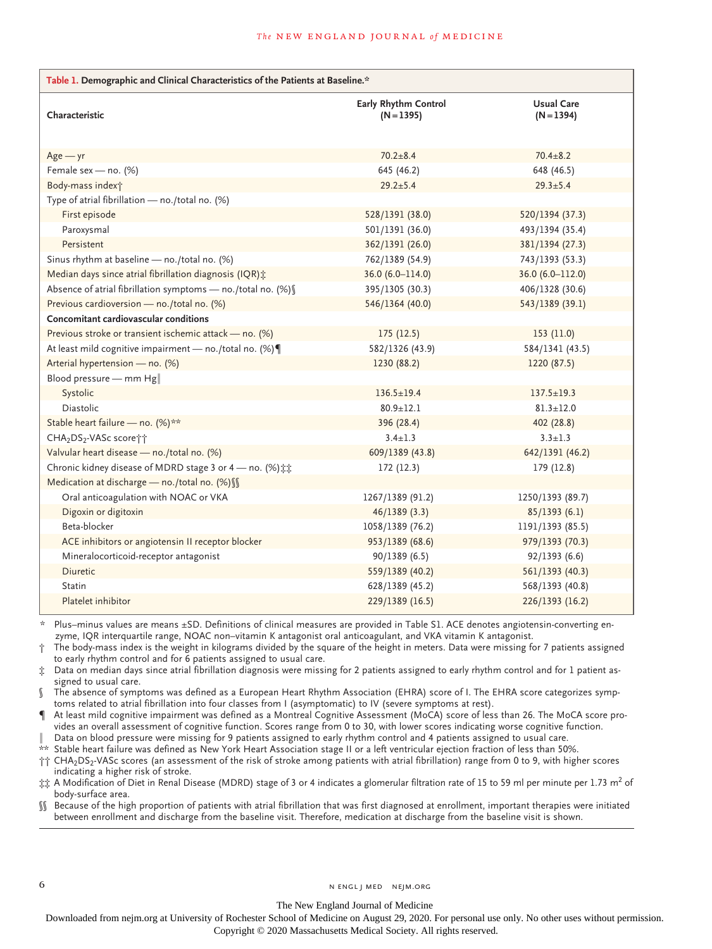| Table 1. Demographic and Clinical Characteristics of the Patients at Baseline.* |                                      |                                   |  |  |
|---------------------------------------------------------------------------------|--------------------------------------|-----------------------------------|--|--|
| Characteristic                                                                  | Early Rhythm Control<br>$(N = 1395)$ | <b>Usual Care</b><br>$(N = 1394)$ |  |  |
| $Age - yr$                                                                      | $70.2 + 8.4$                         | $70.4 \pm 8.2$                    |  |  |
| Female sex - no. (%)                                                            | 645 (46.2)                           | 648 (46.5)                        |  |  |
| Body-mass index†                                                                | $29.2 + 5.4$                         | $29.3 \pm 5.4$                    |  |  |
| Type of atrial fibrillation - no./total no. (%)                                 |                                      |                                   |  |  |
| First episode                                                                   | 528/1391 (38.0)                      | 520/1394 (37.3)                   |  |  |
| Paroxysmal                                                                      | 501/1391 (36.0)                      | 493/1394 (35.4)                   |  |  |
| Persistent                                                                      | 362/1391 (26.0)                      | 381/1394 (27.3)                   |  |  |
| Sinus rhythm at baseline - no./total no. (%)                                    | 762/1389 (54.9)                      | 743/1393 (53.3)                   |  |  |
| Median days since atrial fibrillation diagnosis (IQR):                          | $36.0 (6.0 - 114.0)$                 | $36.0 (6.0 - 112.0)$              |  |  |
| Absence of atrial fibrillation symptoms - no./total no. (%)                     | 395/1305 (30.3)                      | 406/1328 (30.6)                   |  |  |
| Previous cardioversion - no./total no. (%)                                      | 546/1364 (40.0)                      | 543/1389 (39.1)                   |  |  |
| Concomitant cardiovascular conditions                                           |                                      |                                   |  |  |
| Previous stroke or transient ischemic attack - no. (%)                          | 175(12.5)                            | 153(11.0)                         |  |  |
| At least mild cognitive impairment - no./total no. (%)                          | 582/1326 (43.9)                      | 584/1341 (43.5)                   |  |  |
| Arterial hypertension - no. (%)                                                 | 1230 (88.2)                          | 1220 (87.5)                       |  |  |
| Blood pressure - mm Hg                                                          |                                      |                                   |  |  |
| Systolic                                                                        | $136.5 \pm 19.4$                     | $137.5 \pm 19.3$                  |  |  |
| <b>Diastolic</b>                                                                | $80.9 + 12.1$                        | $81.3 \pm 12.0$                   |  |  |
| Stable heart failure - no. (%)**                                                | 396 (28.4)                           | 402 (28.8)                        |  |  |
| CHA <sub>2</sub> DS <sub>2</sub> -VASc score††                                  | $3.4 \pm 1.3$                        | $3.3 \pm 1.3$                     |  |  |
| Valvular heart disease - no./total no. (%)                                      | 609/1389 (43.8)                      | 642/1391 (46.2)                   |  |  |
| Chronic kidney disease of MDRD stage 3 or 4 - no. (%) ##                        | 172 (12.3)                           | 179 (12.8)                        |  |  |
| Medication at discharge - no./total no. (%) \                                   |                                      |                                   |  |  |
| Oral anticoagulation with NOAC or VKA                                           | 1267/1389 (91.2)                     | 1250/1393 (89.7)                  |  |  |
| Digoxin or digitoxin                                                            | 46/1389 (3.3)                        | 85/1393(6.1)                      |  |  |
| Beta-blocker                                                                    | 1058/1389 (76.2)                     | 1191/1393 (85.5)                  |  |  |
| ACE inhibitors or angiotensin II receptor blocker                               | 953/1389 (68.6)                      | 979/1393 (70.3)                   |  |  |
| Mineralocorticoid-receptor antagonist                                           | 90/1389(6.5)                         | 92/1393(6.6)                      |  |  |
| <b>Diuretic</b>                                                                 | 559/1389 (40.2)                      | 561/1393 (40.3)                   |  |  |
| Statin                                                                          | 628/1389 (45.2)                      | 568/1393 (40.8)                   |  |  |
| Platelet inhibitor                                                              | 229/1389 (16.5)                      | 226/1393 (16.2)                   |  |  |

\* Plus–minus values are means ±SD. Definitions of clinical measures are provided in Table S1. ACE denotes angiotensin-converting enzyme, IQR interquartile range, NOAC non–vitamin K antagonist oral anticoagulant, and VKA vitamin K antagonist.

† The body-mass index is the weight in kilograms divided by the square of the height in meters. Data were missing for 7 patients assigned to early rhythm control and for 6 patients assigned to usual care.

‡ Data on median days since atrial fibrillation diagnosis were missing for 2 patients assigned to early rhythm control and for 1 patient assigned to usual care.

§ The absence of symptoms was defined as a European Heart Rhythm Association (EHRA) score of I. The EHRA score categorizes symptoms related to atrial fibrillation into four classes from I (asymptomatic) to IV (severe symptoms at rest).

At least mild cognitive impairment was defined as a Montreal Cognitive Assessment (MoCA) score of less than 26. The MoCA score provides an overall assessment of cognitive function. Scores range from 0 to 30, with lower scores indicating worse cognitive function. Data on blood pressure were missing for 9 patients assigned to early rhythm control and 4 patients assigned to usual care.

\*\* Stable heart failure was defined as New York Heart Association stage II or a left ventricular ejection fraction of less than 50%.

†† CHA2DS2-VASc scores (an assessment of the risk of stroke among patients with atrial fibrillation) range from 0 to 9, with higher scores indicating a higher risk of stroke.

 $\ddot{x}$  A Modification of Diet in Renal Disease (MDRD) stage of 3 or 4 indicates a glomerular filtration rate of 15 to 59 ml per minute per 1.73 m<sup>2</sup> of body-surface area.

Because of the high proportion of patients with atrial fibrillation that was first diagnosed at enrollment, important therapies were initiated between enrollment and discharge from the baseline visit. Therefore, medication at discharge from the baseline visit is shown.

The New England Journal of Medicine

Downloaded from nejm.org at University of Rochester School of Medicine on August 29, 2020. For personal use only. No other uses without permission.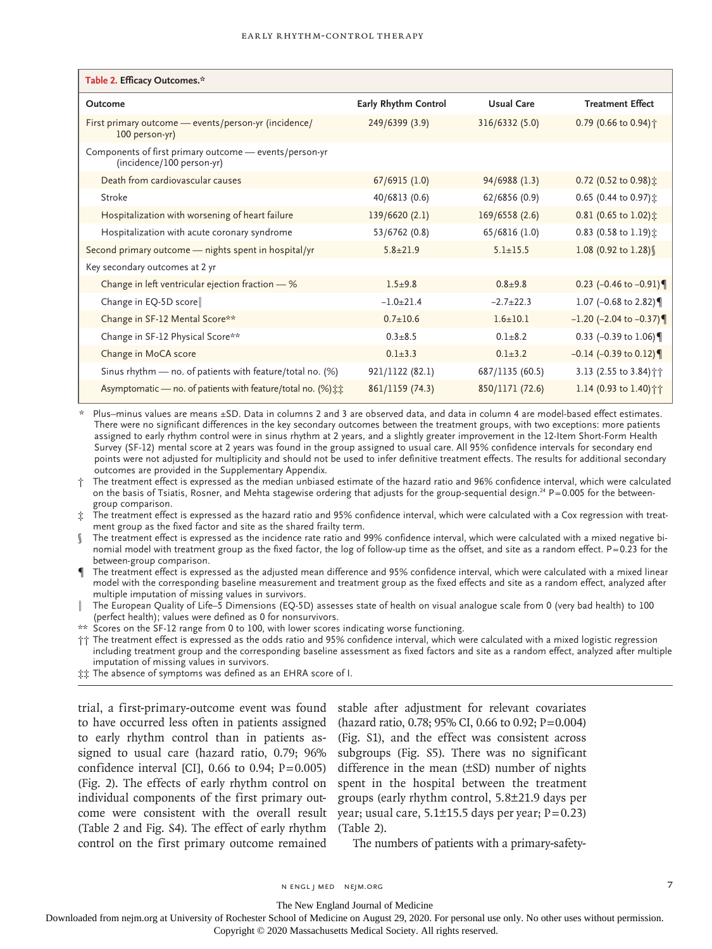| Table 2. Efficacy Outcomes.*                                                        |                      |                   |                                  |
|-------------------------------------------------------------------------------------|----------------------|-------------------|----------------------------------|
| Outcome                                                                             | Early Rhythm Control | <b>Usual Care</b> | <b>Treatment Effect</b>          |
| First primary outcome - events/person-yr (incidence/<br>100 person-yr)              | 249/6399 (3.9)       | 316/6332 (5.0)    | 0.79 (0.66 to 0.94) <sup>+</sup> |
| Components of first primary outcome - events/person-yr<br>(incidence/100 person-yr) |                      |                   |                                  |
| Death from cardiovascular causes                                                    | 67/6915 (1.0)        | 94/6988 (1.3)     | 0.72 (0.52 to 0.98) $\pm$        |
| Stroke                                                                              | 40/6813 (0.6)        | 62/6856 (0.9)     | $0.65$ (0.44 to 0.97) $\pm$      |
| Hospitalization with worsening of heart failure                                     | 139/6620 (2.1)       | 169/6558 (2.6)    | 0.81 (0.65 to 1.02) t            |
| Hospitalization with acute coronary syndrome                                        | 53/6762 (0.8)        | 65/6816 (1.0)     | 0.83 (0.58 to 1.19) $\ddagger$   |
| Second primary outcome - nights spent in hospital/yr                                | $5.8 \pm 21.9$       | $5.1 \pm 15.5$    | 1.08 (0.92 to 1.28) $$$          |
| Key secondary outcomes at 2 yr                                                      |                      |                   |                                  |
| Change in left ventricular ejection fraction - %                                    | $1.5 + 9.8$          | $0.8 + 9.8$       | 0.23 $(-0.46 \text{ to } -0.91)$ |
| Change in EQ-5D score                                                               | $-1.0+21.4$          | $-2.7+22.3$       | 1.07 (-0.68 to 2.82)             |
| Change in SF-12 Mental Score**                                                      | $0.7 + 10.6$         | $1.6 \pm 10.1$    | $-1.20$ (-2.04 to $-0.37$ )      |
| Change in SF-12 Physical Score**                                                    | $0.3 + 8.5$          | $0.1 + 8.2$       | 0.33 (-0.39 to $1.06$ )          |
| Change in MoCA score                                                                | $0.1 + 3.3$          | $0.1 + 3.2$       | $-0.14$ (-0.39 to 0.12)          |
| Sinus rhythm $-$ no. of patients with feature/total no. (%)                         | 921/1122 (82.1)      | 687/1135 (60.5)   | 3.13 (2.55 to 3.84) ††           |
| Asymptomatic - no. of patients with feature/total no. (%) :::                       | 861/1159 (74.3)      | 850/1171 (72.6)   | 1.14 (0.93 to 1.40) ††           |

Plus–minus values are means ±SD. Data in columns 2 and 3 are observed data, and data in column 4 are model-based effect estimates. There were no significant differences in the key secondary outcomes between the treatment groups, with two exceptions: more patients assigned to early rhythm control were in sinus rhythm at 2 years, and a slightly greater improvement in the 12-Item Short-Form Health Survey (SF-12) mental score at 2 years was found in the group assigned to usual care. All 95% confidence intervals for secondary end points were not adjusted for multiplicity and should not be used to infer definitive treatment effects. The results for additional secondary outcomes are provided in the Supplementary Appendix.

† The treatment effect is expressed as the median unbiased estimate of the hazard ratio and 96% confidence interval, which were calculated on the basis of Tsiatis, Rosner, and Mehta stagewise ordering that adjusts for the group-sequential design.<sup>24</sup> P=0.005 for the betweengroup comparison.

‡ The treatment effect is expressed as the hazard ratio and 95% confidence interval, which were calculated with a Cox regression with treatment group as the fixed factor and site as the shared frailty term.

The treatment effect is expressed as the incidence rate ratio and 99% confidence interval, which were calculated with a mixed negative binomial model with treatment group as the fixed factor, the log of follow-up time as the offset, and site as a random effect. P=0.23 for the between-group comparison.

¶ The treatment effect is expressed as the adjusted mean difference and 95% confidence interval, which were calculated with a mixed linear model with the corresponding baseline measurement and treatment group as the fixed effects and site as a random effect, analyzed after multiple imputation of missing values in survivors.

‖ The European Quality of Life–5 Dimensions (EQ-5D) assesses state of health on visual analogue scale from 0 (very bad health) to 100 (perfect health); values were defined as 0 for nonsurvivors.

\*\* Scores on the SF-12 range from 0 to 100, with lower scores indicating worse functioning.

†† The treatment effect is expressed as the odds ratio and 95% confidence interval, which were calculated with a mixed logistic regression including treatment group and the corresponding baseline assessment as fixed factors and site as a random effect, analyzed after multiple imputation of missing values in survivors.

‡‡ The absence of symptoms was defined as an EHRA score of I.

trial, a first-primary-outcome event was found stable after adjustment for relevant covariates to have occurred less often in patients assigned to early rhythm control than in patients assigned to usual care (hazard ratio, 0.79; 96% confidence interval [CI],  $0.66$  to  $0.94$ ;  $P=0.005$ ) (Fig. 2). The effects of early rhythm control on spent in the hospital between the treatment individual components of the first primary outcome were consistent with the overall result year; usual care,  $5.1\pm15.5$  days per year;  $P=0.23$ ) (Table 2 and Fig. S4). The effect of early rhythm (Table 2). control on the first primary outcome remained

(hazard ratio, 0.78; 95% CI, 0.66 to 0.92; P=0.004) (Fig. S1), and the effect was consistent across subgroups (Fig. S5). There was no significant difference in the mean (±SD) number of nights groups (early rhythm control, 5.8±21.9 days per

The numbers of patients with a primary-safety-

n engl j med nejm.org 7

The New England Journal of Medicine

Downloaded from nejm.org at University of Rochester School of Medicine on August 29, 2020. For personal use only. No other uses without permission.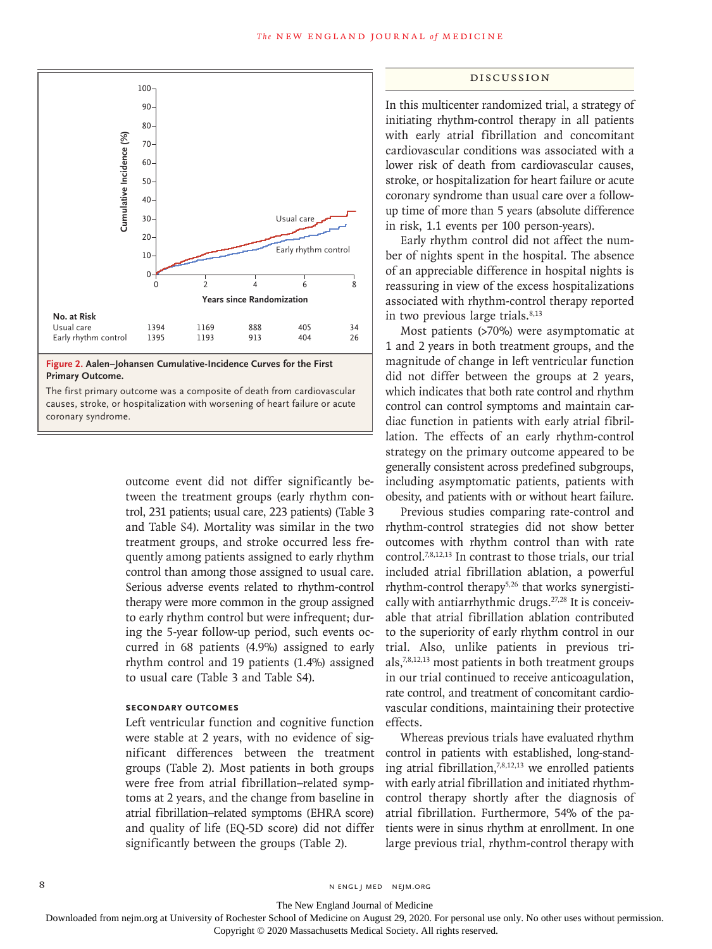

**Figure 2. Aalen–Johansen Cumulative-Incidence Curves for the First Primary Outcome.**

The first primary outcome was a composite of death from cardiovascular causes, stroke, or hospitalization with worsening of heart failure or acute

> outcome event did not differ significantly between the treatment groups (early rhythm control, 231 patients; usual care, 223 patients) (Table 3 and Table S4). Mortality was similar in the two treatment groups, and stroke occurred less frequently among patients assigned to early rhythm control than among those assigned to usual care. Serious adverse events related to rhythm-control therapy were more common in the group assigned to early rhythm control but were infrequent; during the 5-year follow-up period, such events occurred in 68 patients (4.9%) assigned to early rhythm control and 19 patients (1.4%) assigned to usual care (Table 3 and Table S4).

# **Secondary Outcomes**

Left ventricular function and cognitive function were stable at 2 years, with no evidence of significant differences between the treatment groups (Table 2). Most patients in both groups were free from atrial fibrillation–related symptoms at 2 years, and the change from baseline in atrial fibrillation–related symptoms (EHRA score) and quality of life (EQ-5D score) did not differ significantly between the groups (Table 2).

#### Discussion

In this multicenter randomized trial, a strategy of initiating rhythm-control therapy in all patients with early atrial fibrillation and concomitant cardiovascular conditions was associated with a lower risk of death from cardiovascular causes, stroke, or hospitalization for heart failure or acute coronary syndrome than usual care over a followup time of more than 5 years (absolute difference in risk, 1.1 events per 100 person-years).

Early rhythm control did not affect the number of nights spent in the hospital. The absence of an appreciable difference in hospital nights is reassuring in view of the excess hospitalizations associated with rhythm-control therapy reported in two previous large trials. $8,13$ 

Most patients (>70%) were asymptomatic at 1 and 2 years in both treatment groups, and the magnitude of change in left ventricular function did not differ between the groups at 2 years, which indicates that both rate control and rhythm control can control symptoms and maintain cardiac function in patients with early atrial fibrillation. The effects of an early rhythm-control strategy on the primary outcome appeared to be generally consistent across predefined subgroups, including asymptomatic patients, patients with obesity, and patients with or without heart failure.

Previous studies comparing rate-control and rhythm-control strategies did not show better outcomes with rhythm control than with rate control.7,8,12,13 In contrast to those trials, our trial included atrial fibrillation ablation, a powerful rhythm-control therapy<sup>5,26</sup> that works synergistically with antiarrhythmic drugs. $27,28$  It is conceivable that atrial fibrillation ablation contributed to the superiority of early rhythm control in our trial. Also, unlike patients in previous trials, $7,8,12,13$  most patients in both treatment groups in our trial continued to receive anticoagulation, rate control, and treatment of concomitant cardiovascular conditions, maintaining their protective effects.

Whereas previous trials have evaluated rhythm control in patients with established, long-standing atrial fibrillation, $7,8,12,13$  we enrolled patients with early atrial fibrillation and initiated rhythmcontrol therapy shortly after the diagnosis of atrial fibrillation. Furthermore, 54% of the patients were in sinus rhythm at enrollment. In one large previous trial, rhythm-control therapy with

8 N ENGL J MED NEJM.ORG

The New England Journal of Medicine

Downloaded from nejm.org at University of Rochester School of Medicine on August 29, 2020. For personal use only. No other uses without permission.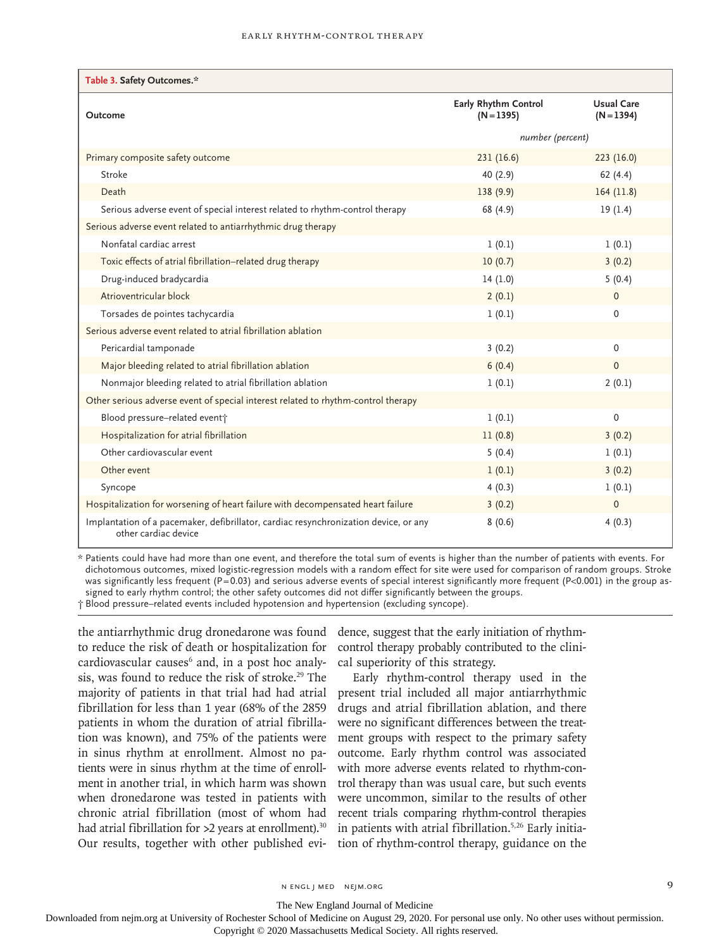| Table 3. Safety Outcomes.*                                                                                   |                                      |                                   |
|--------------------------------------------------------------------------------------------------------------|--------------------------------------|-----------------------------------|
| Outcome                                                                                                      | Early Rhythm Control<br>$(N = 1395)$ | <b>Usual Care</b><br>$(N = 1394)$ |
|                                                                                                              | number (percent)                     |                                   |
| Primary composite safety outcome                                                                             | 231 (16.6)                           | 223 (16.0)                        |
| Stroke                                                                                                       | 40 (2.9)                             | 62(4.4)                           |
| Death                                                                                                        | 138(9.9)                             | 164(11.8)                         |
| Serious adverse event of special interest related to rhythm-control therapy                                  | 68 (4.9)                             | 19(1.4)                           |
| Serious adverse event related to antiarrhythmic drug therapy                                                 |                                      |                                   |
| Nonfatal cardiac arrest                                                                                      | 1(0.1)                               | 1(0.1)                            |
| Toxic effects of atrial fibrillation-related drug therapy                                                    | 10(0.7)                              | 3(0.2)                            |
| Drug-induced bradycardia                                                                                     | 14(1.0)                              | 5(0.4)                            |
| Atrioventricular block                                                                                       | 2(0.1)                               | $\Omega$                          |
| Torsades de pointes tachycardia                                                                              | 1(0.1)                               | $\mathbf{0}$                      |
| Serious adverse event related to atrial fibrillation ablation                                                |                                      |                                   |
| Pericardial tamponade                                                                                        | 3(0.2)                               | $\mathbf 0$                       |
| Major bleeding related to atrial fibrillation ablation                                                       | 6(0.4)                               | $\Omega$                          |
| Nonmajor bleeding related to atrial fibrillation ablation                                                    | 1(0.1)                               | 2(0.1)                            |
| Other serious adverse event of special interest related to rhythm-control therapy                            |                                      |                                   |
| Blood pressure-related event†                                                                                | 1(0.1)                               | $\Omega$                          |
| Hospitalization for atrial fibrillation                                                                      | 11(0.8)                              | 3(0.2)                            |
| Other cardiovascular event                                                                                   | 5(0.4)                               | 1(0.1)                            |
| Other event                                                                                                  | 1(0.1)                               | 3(0.2)                            |
| Syncope                                                                                                      | 4(0.3)                               | 1(0.1)                            |
| Hospitalization for worsening of heart failure with decompensated heart failure                              | 3(0.2)                               | $\Omega$                          |
| Implantation of a pacemaker, defibrillator, cardiac resynchronization device, or any<br>other cardiac device | 8(0.6)                               | 4(0.3)                            |

\* Patients could have had more than one event, and therefore the total sum of events is higher than the number of patients with events. For dichotomous outcomes, mixed logistic-regression models with a random effect for site were used for comparison of random groups. Stroke was significantly less frequent (P=0.03) and serious adverse events of special interest significantly more frequent (P<0.001) in the group assigned to early rhythm control; the other safety outcomes did not differ significantly between the groups. † Blood pressure–related events included hypotension and hypertension (excluding syncope).

the antiarrhythmic drug dronedarone was found dence, suggest that the early initiation of rhythmto reduce the risk of death or hospitalization for cardiovascular causes<sup>6</sup> and, in a post hoc analysis, was found to reduce the risk of stroke.<sup>29</sup> The majority of patients in that trial had had atrial fibrillation for less than 1 year (68% of the 2859 patients in whom the duration of atrial fibrillation was known), and 75% of the patients were in sinus rhythm at enrollment. Almost no patients were in sinus rhythm at the time of enrollment in another trial, in which harm was shown when dronedarone was tested in patients with chronic atrial fibrillation (most of whom had had atrial fibrillation for  $>2$  years at enrollment).<sup>30</sup> Our results, together with other published evi-

control therapy probably contributed to the clinical superiority of this strategy.

Early rhythm-control therapy used in the present trial included all major antiarrhythmic drugs and atrial fibrillation ablation, and there were no significant differences between the treatment groups with respect to the primary safety outcome. Early rhythm control was associated with more adverse events related to rhythm-control therapy than was usual care, but such events were uncommon, similar to the results of other recent trials comparing rhythm-control therapies in patients with atrial fibrillation.<sup>5,26</sup> Early initiation of rhythm-control therapy, guidance on the

The New England Journal of Medicine

Downloaded from nejm.org at University of Rochester School of Medicine on August 29, 2020. For personal use only. No other uses without permission.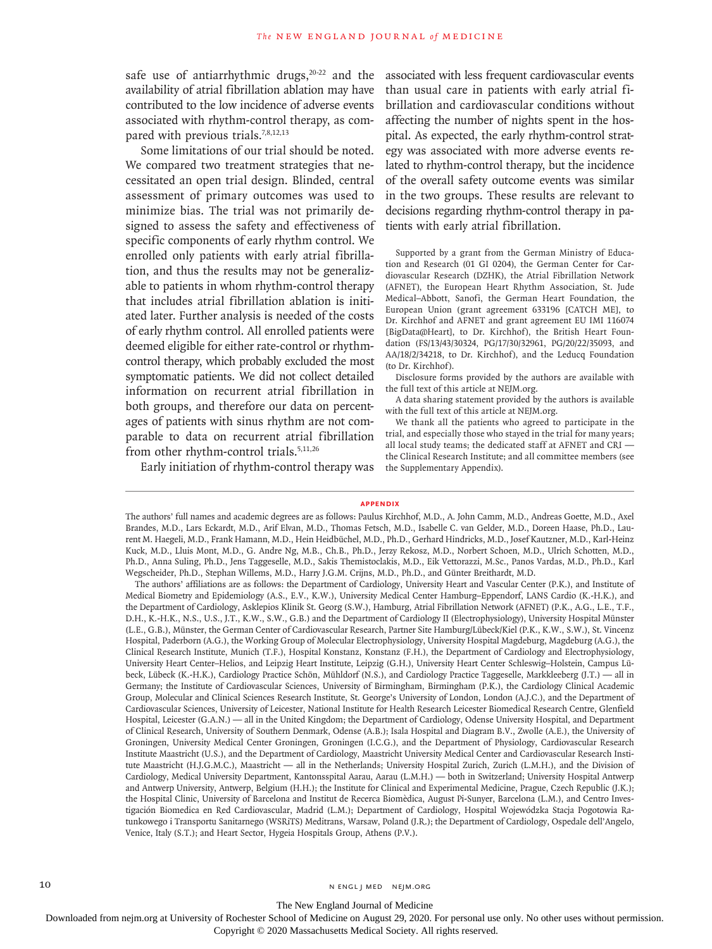safe use of antiarrhythmic drugs, $20-22$  and the availability of atrial fibrillation ablation may have contributed to the low incidence of adverse events associated with rhythm-control therapy, as compared with previous trials.<sup>7,8,12,13</sup>

Some limitations of our trial should be noted. We compared two treatment strategies that necessitated an open trial design. Blinded, central assessment of primary outcomes was used to minimize bias. The trial was not primarily designed to assess the safety and effectiveness of specific components of early rhythm control. We enrolled only patients with early atrial fibrillation, and thus the results may not be generalizable to patients in whom rhythm-control therapy that includes atrial fibrillation ablation is initiated later. Further analysis is needed of the costs of early rhythm control. All enrolled patients were deemed eligible for either rate-control or rhythmcontrol therapy, which probably excluded the most symptomatic patients. We did not collect detailed information on recurrent atrial fibrillation in both groups, and therefore our data on percentages of patients with sinus rhythm are not comparable to data on recurrent atrial fibrillation from other rhythm-control trials.<sup>5,11,26</sup>

Early initiation of rhythm-control therapy was

associated with less frequent cardiovascular events than usual care in patients with early atrial fibrillation and cardiovascular conditions without affecting the number of nights spent in the hospital. As expected, the early rhythm-control strategy was associated with more adverse events related to rhythm-control therapy, but the incidence of the overall safety outcome events was similar in the two groups. These results are relevant to decisions regarding rhythm-control therapy in patients with early atrial fibrillation.

Supported by a grant from the German Ministry of Education and Research (01 GI 0204), the German Center for Cardiovascular Research (DZHK), the Atrial Fibrillation Network (AFNET), the European Heart Rhythm Association, St. Jude Medical–Abbott, Sanofi, the German Heart Foundation, the European Union (grant agreement 633196 [CATCH ME], to Dr. Kirchhof and AFNET and grant agreement EU IMI 116074 [BigData@Heart], to Dr. Kirchhof), the British Heart Foundation (FS/13/43/30324, PG/17/30/32961, PG/20/22/35093, and AA/18/2/34218, to Dr. Kirchhof), and the Leducq Foundation (to Dr. Kirchhof).

Disclosure forms provided by the authors are available with the full text of this article at NEJM.org.

A data sharing statement provided by the authors is available with the full text of this article at NEJM.org.

We thank all the patients who agreed to participate in the trial, and especially those who stayed in the trial for many years; all local study teams; the dedicated staff at AFNET and CRI the Clinical Research Institute; and all committee members (see the Supplementary Appendix).

#### **Appendix**

The authors' full names and academic degrees are as follows: Paulus Kirchhof, M.D., A. John Camm, M.D., Andreas Goette, M.D., Axel Brandes, M.D., Lars Eckardt, M.D., Arif Elvan, M.D., Thomas Fetsch, M.D., Isabelle C. van Gelder, M.D., Doreen Haase, Ph.D., Laurent M. Haegeli, M.D., Frank Hamann, M.D., Hein Heidbüchel, M.D., Ph.D., Gerhard Hindricks, M.D., Josef Kautzner, M.D., Karl-Heinz Kuck, M.D., Lluis Mont, M.D., G. Andre Ng, M.B., Ch.B., Ph.D., Jerzy Rekosz, M.D., Norbert Schoen, M.D., Ulrich Schotten, M.D., Ph.D., Anna Suling, Ph.D., Jens Taggeselle, M.D., Sakis Themistoclakis, M.D., Eik Vettorazzi, M.Sc., Panos Vardas, M.D., Ph.D., Karl Wegscheider, Ph.D., Stephan Willems, M.D., Harry J.G.M. Crijns, M.D., Ph.D., and Günter Breithardt, M.D.

The authors' affiliations are as follows: the Department of Cardiology, University Heart and Vascular Center (P.K.), and Institute of Medical Biometry and Epidemiology (A.S., E.V., K.W.), University Medical Center Hamburg–Eppendorf, LANS Cardio (K.-H.K.), and the Department of Cardiology, Asklepios Klinik St. Georg (S.W.), Hamburg, Atrial Fibrillation Network (AFNET) (P.K., A.G., L.E., T.F., D.H., K.-H.K., N.S., U.S., J.T., K.W., S.W., G.B.) and the Department of Cardiology II (Electrophysiology), University Hospital Münster (L.E., G.B.), Münster, the German Center of Cardiovascular Research, Partner Site Hamburg/Lübeck/Kiel (P.K., K.W., S.W.), St. Vincenz Hospital, Paderborn (A.G.), the Working Group of Molecular Electrophysiology, University Hospital Magdeburg, Magdeburg (A.G.), the Clinical Research Institute, Munich (T.F.), Hospital Konstanz, Konstanz (F.H.), the Department of Cardiology and Electrophysiology, University Heart Center–Helios, and Leipzig Heart Institute, Leipzig (G.H.), University Heart Center Schleswig–Holstein, Campus Lübeck, Lübeck (K.-H.K.), Cardiology Practice Schön, Mühldorf (N.S.), and Cardiology Practice Taggeselle, Markkleeberg (J.T.) — all in Germany; the Institute of Cardiovascular Sciences, University of Birmingham, Birmingham (P.K.), the Cardiology Clinical Academic Group, Molecular and Clinical Sciences Research Institute, St. George's University of London, London (A.J.C.), and the Department of Cardiovascular Sciences, University of Leicester, National Institute for Health Research Leicester Biomedical Research Centre, Glenfield Hospital, Leicester (G.A.N.) — all in the United Kingdom; the Department of Cardiology, Odense University Hospital, and Department of Clinical Research, University of Southern Denmark, Odense (A.B.); Isala Hospital and Diagram B.V., Zwolle (A.E.), the University of Groningen, University Medical Center Groningen, Groningen (I.C.G.), and the Department of Physiology, Cardiovascular Research Institute Maastricht (U.S.), and the Department of Cardiology, Maastricht University Medical Center and Cardiovascular Research Institute Maastricht (H.J.G.M.C.), Maastricht — all in the Netherlands; University Hospital Zurich, Zurich (L.M.H.), and the Division of Cardiology, Medical University Department, Kantonsspital Aarau, Aarau (L.M.H.) — both in Switzerland; University Hospital Antwerp and Antwerp University, Antwerp, Belgium (H.H.); the Institute for Clinical and Experimental Medicine, Prague, Czech Republic (J.K.); the Hospital Clinic, University of Barcelona and Institut de Recerca Biomèdica, August Pi-Sunyer, Barcelona (L.M.), and Centro Investigación Biomedica en Red Cardiovascular, Madrid (L.M.); Department of Cardiology, Hospital Wojewódzka Stacja Pogotowia Ratunkowego i Transportu Sanitarnego (WSRiTS) Meditrans, Warsaw, Poland (J.R.); the Department of Cardiology, Ospedale dell'Angelo, Venice, Italy (S.T.); and Heart Sector, Hygeia Hospitals Group, Athens (P.V.).

10 N ENGL J MED NEJM.ORG

The New England Journal of Medicine

Downloaded from nejm.org at University of Rochester School of Medicine on August 29, 2020. For personal use only. No other uses without permission.